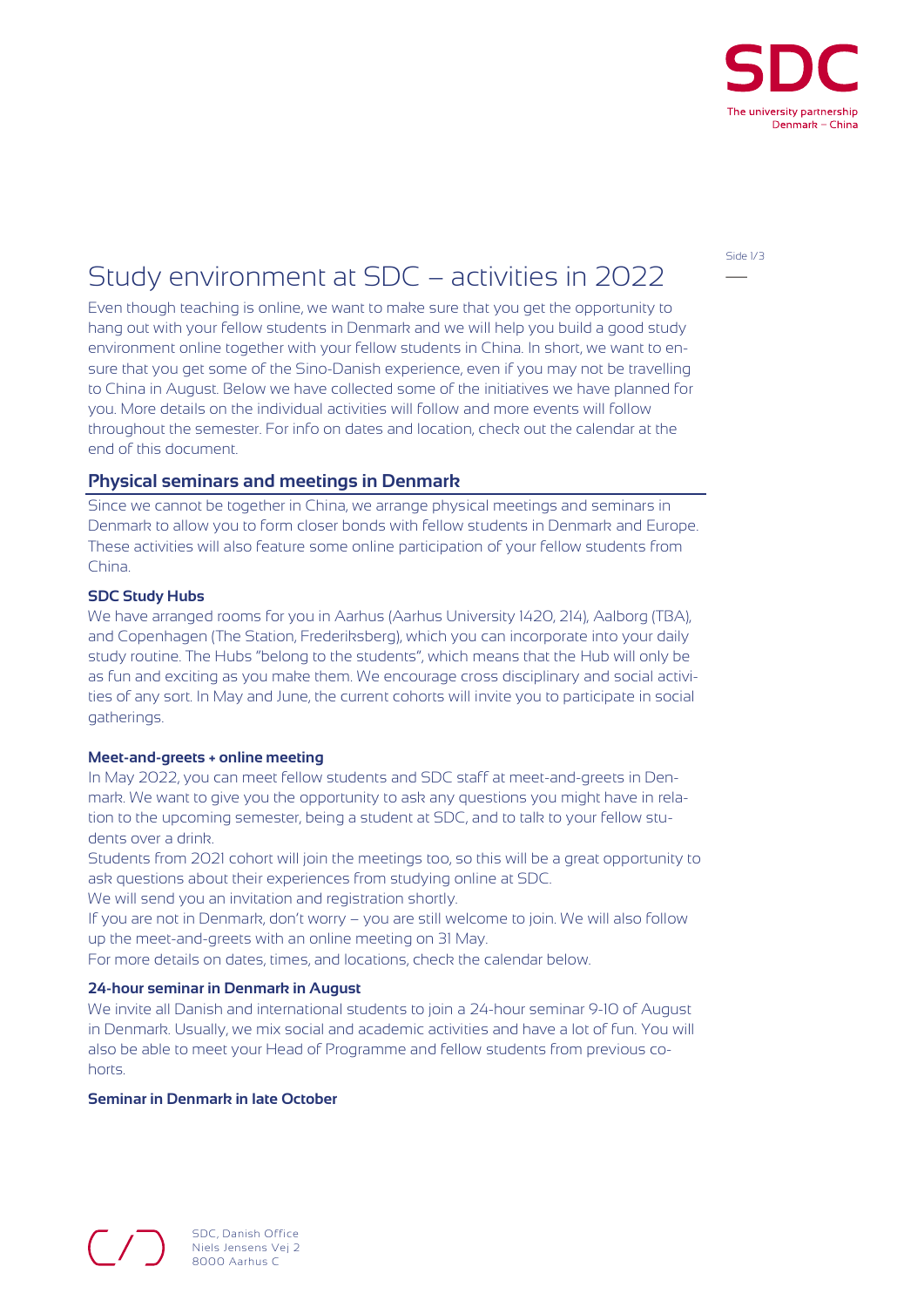

Side 1/3

# Study environment at SDC – activities in 2022

Even though teaching is online, we want to make sure that you get the opportunity to hang out with your fellow students in Denmark and we will help you build a good study environment online together with your fellow students in China. In short, we want to ensure that you get some of the Sino-Danish experience, even if you may not be travelling to China in August. Below we have collected some of the initiatives we have planned for you. More details on the individual activities will follow and more events will follow throughout the semester. For info on dates and location, check out the calendar at the end of this document.

### **Physical seminars and meetings in Denmark**

Since we cannot be together in China, we arrange physical meetings and seminars in Denmark to allow you to form closer bonds with fellow students in Denmark and Europe. These activities will also feature some online participation of your fellow students from China.

#### SDC Study Hubs

We have arranged rooms for you in Aarhus (Aarhus University 1420, 214), Aalborg (TBA), and Copenhagen (The Station, Frederiksberg), which you can incorporate into your daily study routine. The Hubs "belong to the students", which means that the Hub will only be as fun and exciting as you make them. We encourage cross disciplinary and social activities of any sort. In May and June, the current cohorts will invite you to participate in social gatherings.

#### Meet-and-greets + online meeting

In May 2022, you can meet fellow students and SDC staff at meet-and-greets in Denmark. We want to give you the opportunity to ask any questions you might have in relation to the upcoming semester, being a student at SDC, and to talk to your fellow students over a drink.

Students from 2021 cohort will join the meetings too, so this will be a great opportunity to ask questions about their experiences from studying online at SDC.

We will send you an invitation and registration shortly.

If you are not in Denmark, don't worry – you are still welcome to join. We will also follow up the meet-and-greets with an online meeting on 31 May.

For more details on dates, times, and locations, check the calendar below.

#### 24-hour seminar in Denmark in August

We invite all Danish and international students to join a 24-hour seminar 9-10 of August in Denmark. Usually, we mix social and academic activities and have a lot of fun. You will also be able to meet your Head of Programme and fellow students from previous cohorts.

## Seminar in Denmark in late October

SDC, Danish Office Niels Jensens Vej 2 8000 Aarhus C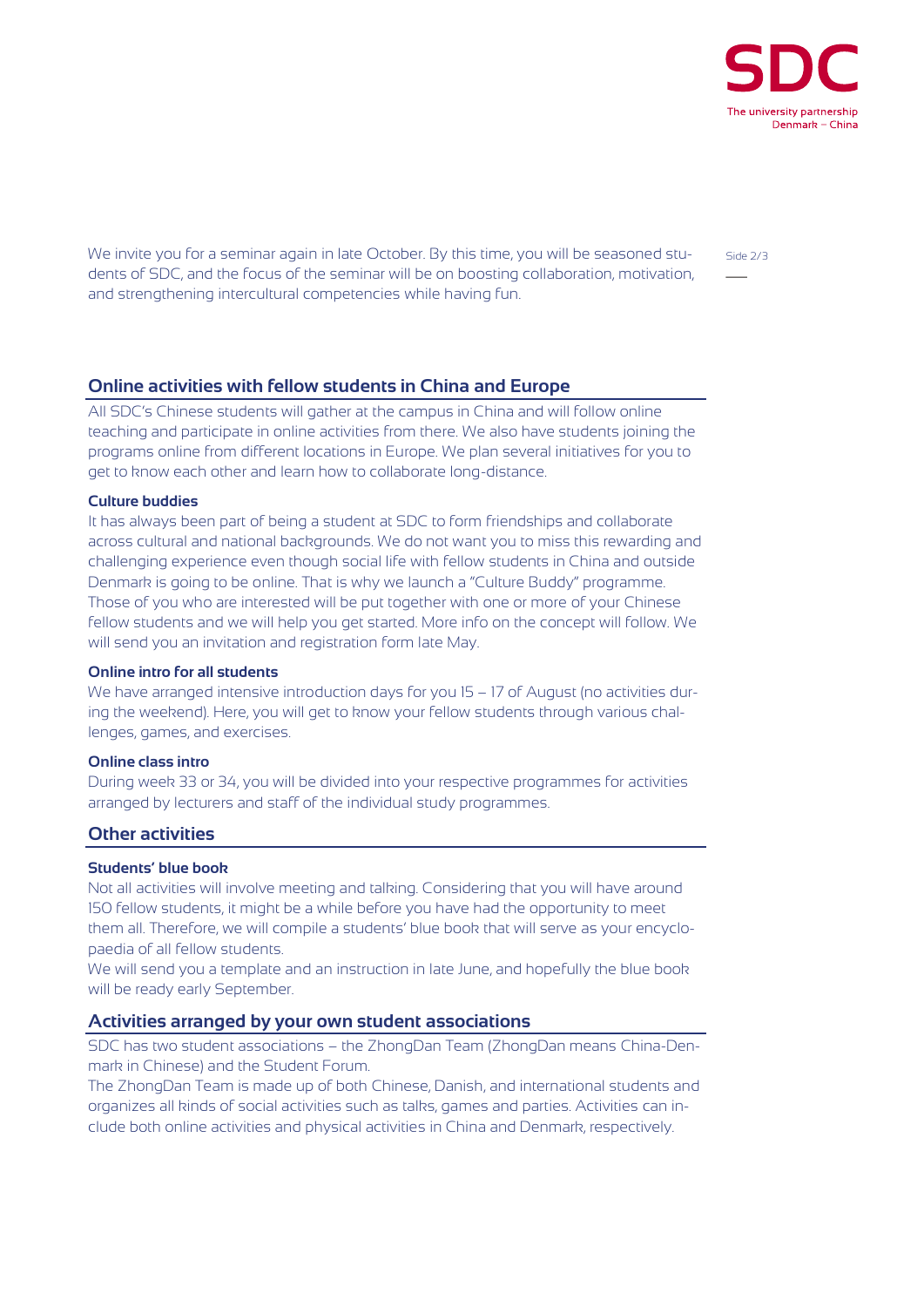

We invite you for a seminar again in late October. By this time, you will be seasoned students of SDC, and the focus of the seminar will be on boosting collaboration, motivation, and strengthening intercultural competencies while having fun.

# **Online activities with fellow students in China and Europe**

All SDC's Chinese students will gather at the campus in China and will follow online teaching and participate in online activities from there. We also have students joining the programs online from different locations in Europe. We plan several initiatives for you to get to know each other and learn how to collaborate long-distance.

#### Culture buddies

It has always been part of being a student at SDC to form friendships and collaborate across cultural and national backgrounds. We do not want you to miss this rewarding and challenging experience even though social life with fellow students in China and outside Denmark is going to be online. That is why we launch a "Culture Buddy" programme. Those of you who are interested will be put together with one or more of your Chinese fellow students and we will help you get started. More info on the concept will follow. We will send you an invitation and registration form late May.

## Online intro for all students

We have arranged intensive introduction days for you 15 – 17 of August (no activities during the weekend). Here, you will get to know your fellow students through various challenges, games, and exercises.

### Online class intro

During week 33 or 34, you will be divided into your respective programmes for activities arranged by lecturers and staff of the individual study programmes.

# **Other activities**

### Students' blue book

Not all activities will involve meeting and talking. Considering that you will have around 150 fellow students, it might be a while before you have had the opportunity to meet them all. Therefore, we will compile a students' blue book that will serve as your encyclopaedia of all fellow students.

We will send you a template and an instruction in late June, and hopefully the blue book will be ready early September.

## Activities arranged by your own student associations

SDC has two student associations – the ZhongDan Team (ZhongDan means China-Denmark in Chinese) and the Student Forum.

The ZhongDan Team is made up of both Chinese, Danish, and international students and organizes all kinds of social activities such as talks, games and parties. Activities can include both online activities and physical activities in China and Denmark, respectively.